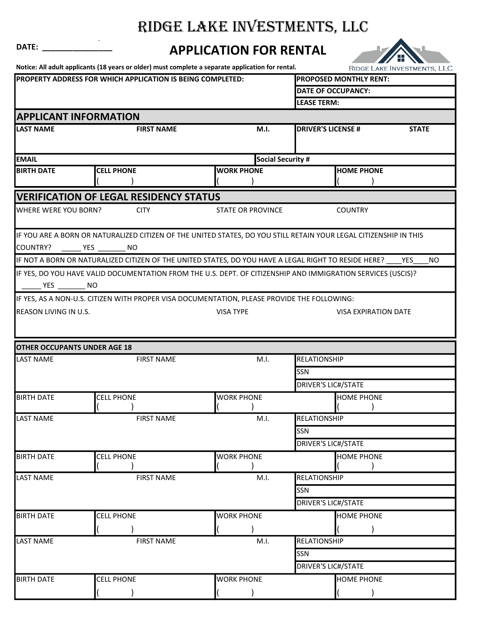## RIDGE LAKE INVESTMENTS, LLC

## <sup>A</sup> DATE: \_\_\_\_\_\_\_\_\_\_\_\_\_\_\_\_ APPLICATION FOR RENTAL



Notice: All adult applicants (18 years or older) must complete a separate application for rental.

|                                                            |                                               | Notice: All aduit applicants (18 years or older) must complete a separate application for rental.                 |                               | <b>RIDGE LAKE INVESTMENTS, LLC</b> |  |  |
|------------------------------------------------------------|-----------------------------------------------|-------------------------------------------------------------------------------------------------------------------|-------------------------------|------------------------------------|--|--|
| PROPERTY ADDRESS FOR WHICH APPLICATION IS BEING COMPLETED: |                                               |                                                                                                                   | <b>PROPOSED MONTHLY RENT:</b> |                                    |  |  |
|                                                            |                                               |                                                                                                                   |                               | <b>DATE OF OCCUPANCY:</b>          |  |  |
|                                                            |                                               |                                                                                                                   | <b>LEASE TERM:</b>            |                                    |  |  |
|                                                            | <b>APPLICANT INFORMATION</b>                  |                                                                                                                   |                               |                                    |  |  |
| <b>LAST NAME</b>                                           | <b>FIRST NAME</b>                             | M.I.                                                                                                              | <b>DRIVER'S LICENSE #</b>     | <b>STATE</b>                       |  |  |
|                                                            |                                               |                                                                                                                   |                               |                                    |  |  |
|                                                            |                                               |                                                                                                                   |                               |                                    |  |  |
| <b>EMAIL</b>                                               |                                               | Social Security #                                                                                                 |                               |                                    |  |  |
| <b>BIRTH DATE</b>                                          | <b>CELL PHONE</b>                             | <b>WORK PHONE</b>                                                                                                 | <b>HOME PHONE</b>             |                                    |  |  |
|                                                            |                                               |                                                                                                                   |                               |                                    |  |  |
|                                                            | <b>VERIFICATION OF LEGAL RESIDENCY STATUS</b> |                                                                                                                   |                               |                                    |  |  |
| <b>WHERE WERE YOU BORN?</b>                                | <b>CITY</b>                                   | <b>STATE OR PROVINCE</b>                                                                                          | <b>COUNTRY</b>                |                                    |  |  |
|                                                            |                                               |                                                                                                                   |                               |                                    |  |  |
|                                                            |                                               | IF YOU ARE A BORN OR NATURALIZED CITIZEN OF THE UNITED STATES, DO YOU STILL RETAIN YOUR LEGAL CITIZENSHIP IN THIS |                               |                                    |  |  |
|                                                            |                                               |                                                                                                                   |                               |                                    |  |  |
|                                                            | COUNTRY? _______ YES ________ NO              |                                                                                                                   |                               |                                    |  |  |
|                                                            |                                               | IF NOT A BORN OR NATURALIZED CITIZEN OF THE UNITED STATES, DO YOU HAVE A LEGAL RIGHT TO RESIDE HERE?              |                               | YES.<br>NO.                        |  |  |
|                                                            |                                               | IF YES, DO YOU HAVE VALID DOCUMENTATION FROM THE U.S. DEPT. OF CITIZENSHIP AND IMMIGRATION SERVICES (USCIS)?      |                               |                                    |  |  |
|                                                            |                                               |                                                                                                                   |                               |                                    |  |  |
|                                                            |                                               | IF YES, AS A NON-U.S. CITIZEN WITH PROPER VISA DOCUMENTATION, PLEASE PROVIDE THE FOLLOWING:                       |                               |                                    |  |  |
| <b>REASON LIVING IN U.S.</b>                               |                                               | <b>VISA TYPE</b>                                                                                                  | <b>VISA EXPIRATION DATE</b>   |                                    |  |  |
|                                                            |                                               |                                                                                                                   |                               |                                    |  |  |
|                                                            |                                               |                                                                                                                   |                               |                                    |  |  |
|                                                            |                                               |                                                                                                                   |                               |                                    |  |  |
| <b>OTHER OCCUPANTS UNDER AGE 18</b>                        |                                               |                                                                                                                   | RELATIONSHIP                  |                                    |  |  |
| <b>LAST NAME</b>                                           | <b>FIRST NAME</b>                             | M.I.                                                                                                              |                               |                                    |  |  |
|                                                            |                                               |                                                                                                                   | SSN                           |                                    |  |  |
|                                                            |                                               |                                                                                                                   | <b>DRIVER'S LIC#/STATE</b>    |                                    |  |  |
| <b>BIRTH DATE</b>                                          | <b>CELL PHONE</b>                             | <b>WORK PHONE</b>                                                                                                 | <b>HOME PHONE</b>             |                                    |  |  |
|                                                            |                                               |                                                                                                                   |                               |                                    |  |  |
| <b>LAST NAME</b>                                           | <b>FIRST NAME</b>                             | M.I.                                                                                                              | <b>RELATIONSHIP</b>           |                                    |  |  |
|                                                            |                                               |                                                                                                                   | SSN                           |                                    |  |  |
|                                                            |                                               |                                                                                                                   | <b>DRIVER'S LIC#/STATE</b>    |                                    |  |  |
| <b>BIRTH DATE</b>                                          | <b>CELL PHONE</b>                             | <b>WORK PHONE</b>                                                                                                 | <b>HOME PHONE</b>             |                                    |  |  |
|                                                            |                                               |                                                                                                                   |                               |                                    |  |  |
| <b>LAST NAME</b>                                           | <b>FIRST NAME</b>                             | M.I.                                                                                                              | <b>RELATIONSHIP</b>           |                                    |  |  |
|                                                            |                                               |                                                                                                                   | SSN                           |                                    |  |  |
|                                                            |                                               |                                                                                                                   | <b>DRIVER'S LIC#/STATE</b>    |                                    |  |  |
|                                                            |                                               |                                                                                                                   |                               |                                    |  |  |
| <b>BIRTH DATE</b>                                          | <b>CELL PHONE</b>                             | <b>WORK PHONE</b>                                                                                                 | <b>HOME PHONE</b>             |                                    |  |  |
|                                                            |                                               |                                                                                                                   |                               |                                    |  |  |
| <b>LAST NAME</b>                                           | <b>FIRST NAME</b>                             | M.I.                                                                                                              | <b>RELATIONSHIP</b>           |                                    |  |  |
|                                                            |                                               |                                                                                                                   | <b>SSN</b>                    |                                    |  |  |
|                                                            |                                               |                                                                                                                   | <b>DRIVER'S LIC#/STATE</b>    |                                    |  |  |
| <b>BIRTH DATE</b>                                          | <b>CELL PHONE</b>                             | <b>WORK PHONE</b>                                                                                                 | <b>HOME PHONE</b>             |                                    |  |  |
|                                                            |                                               |                                                                                                                   |                               |                                    |  |  |
|                                                            |                                               |                                                                                                                   |                               |                                    |  |  |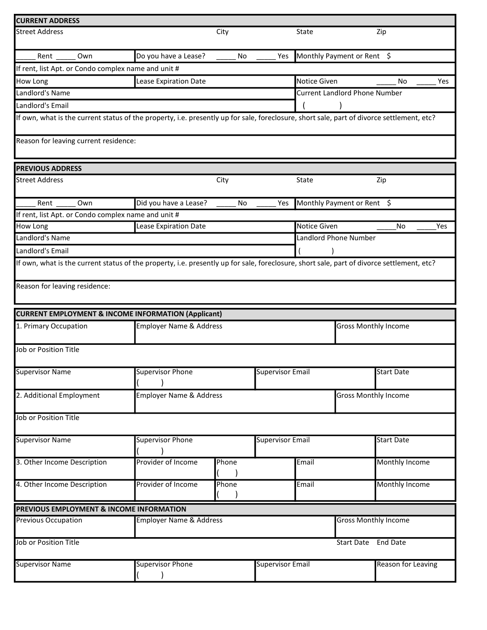| <b>CURRENT ADDRESS</b>                                                                                                                                                     |                                    |       |                         |                             |                                      |                           |     |
|----------------------------------------------------------------------------------------------------------------------------------------------------------------------------|------------------------------------|-------|-------------------------|-----------------------------|--------------------------------------|---------------------------|-----|
| <b>Street Address</b>                                                                                                                                                      |                                    | City  |                         | State                       |                                      | Zip                       |     |
| Own<br>Rent                                                                                                                                                                | Do you have a Lease?               | No    | Yes                     |                             | Monthly Payment or Rent \$           |                           |     |
| If rent, list Apt. or Condo complex name and unit #                                                                                                                        |                                    |       |                         |                             |                                      |                           |     |
| How Long                                                                                                                                                                   | Lease Expiration Date              |       |                         | Notice Given                |                                      | No                        | Yes |
| Landlord's Name                                                                                                                                                            |                                    |       |                         |                             | <b>Current Landlord Phone Number</b> |                           |     |
| Landlord's Email                                                                                                                                                           |                                    |       |                         |                             |                                      |                           |     |
| If own, what is the current status of the property, i.e. presently up for sale, foreclosure, short sale, part of divorce settlement, etc?                                  |                                    |       |                         |                             |                                      |                           |     |
| Reason for leaving current residence:                                                                                                                                      |                                    |       |                         |                             |                                      |                           |     |
| <b>PREVIOUS ADDRESS</b>                                                                                                                                                    |                                    |       |                         |                             |                                      |                           |     |
| <b>Street Address</b>                                                                                                                                                      |                                    | City  |                         | State                       |                                      | Zip                       |     |
| Rent<br>Own                                                                                                                                                                | Did you have a Lease?              | No    | Yes                     |                             | Monthly Payment or Rent \$           |                           |     |
| If rent, list Apt. or Condo complex name and unit #                                                                                                                        |                                    |       |                         |                             |                                      |                           |     |
| How Long                                                                                                                                                                   | Lease Expiration Date              |       |                         | Notice Given                |                                      | No                        | Yes |
| Landlord's Name                                                                                                                                                            |                                    |       |                         |                             | Landlord Phone Number                |                           |     |
| Landlord's Email                                                                                                                                                           |                                    |       |                         |                             |                                      |                           |     |
| If own, what is the current status of the property, i.e. presently up for sale, foreclosure, short sale, part of divorce settlement, etc?<br>Reason for leaving residence: |                                    |       |                         |                             |                                      |                           |     |
| <b>CURRENT EMPLOYMENT &amp; INCOME INFORMATION (Applicant)</b>                                                                                                             |                                    |       |                         |                             |                                      |                           |     |
| 1. Primary Occupation                                                                                                                                                      | <b>Employer Name &amp; Address</b> |       |                         |                             | <b>Gross Monthly Income</b>          |                           |     |
| Job or Position Title                                                                                                                                                      |                                    |       |                         |                             |                                      |                           |     |
| <b>Supervisor Name</b>                                                                                                                                                     | <b>Supervisor Phone</b>            |       | <b>Supervisor Email</b> |                             |                                      | <b>Start Date</b>         |     |
| 2. Additional Employment                                                                                                                                                   | <b>Employer Name &amp; Address</b> |       |                         |                             | <b>Gross Monthly Income</b>          |                           |     |
| Job or Position Title                                                                                                                                                      |                                    |       |                         |                             |                                      |                           |     |
| <b>Supervisor Name</b>                                                                                                                                                     | <b>Supervisor Phone</b>            |       | <b>Supervisor Email</b> |                             |                                      | <b>Start Date</b>         |     |
| 3. Other Income Description                                                                                                                                                | Provider of Income                 | Phone |                         | Email                       |                                      | Monthly Income            |     |
| 4. Other Income Description                                                                                                                                                | Provider of Income                 | Phone |                         | Email                       |                                      | Monthly Income            |     |
| PREVIOUS EMPLOYMENT & INCOME INFORMATION                                                                                                                                   |                                    |       |                         |                             |                                      |                           |     |
| <b>Previous Occupation</b>                                                                                                                                                 | <b>Employer Name &amp; Address</b> |       |                         | <b>Gross Monthly Income</b> |                                      |                           |     |
| <b>Job or Position Title</b><br>Start Date End Date                                                                                                                        |                                    |       |                         |                             |                                      |                           |     |
| <b>Supervisor Name</b>                                                                                                                                                     | <b>Supervisor Phone</b>            |       | <b>Supervisor Email</b> |                             |                                      | <b>Reason for Leaving</b> |     |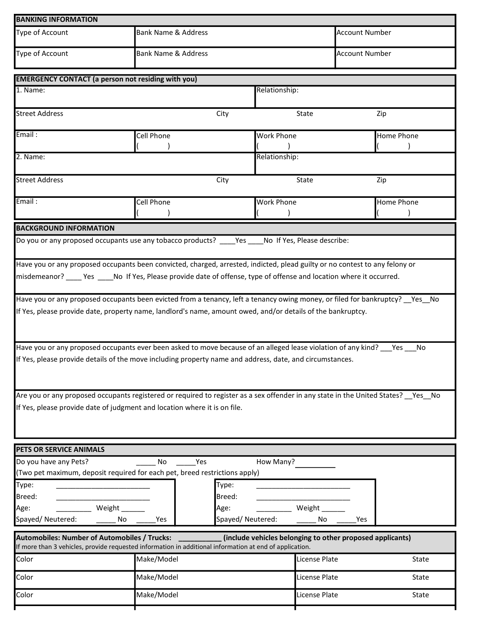| <b>BANKING INFORMATION</b>                                                                                                                                                                                                                          |            |                                |                   |     |                       |  |
|-----------------------------------------------------------------------------------------------------------------------------------------------------------------------------------------------------------------------------------------------------|------------|--------------------------------|-------------------|-----|-----------------------|--|
| Type of Account                                                                                                                                                                                                                                     |            | <b>Bank Name &amp; Address</b> |                   |     | <b>Account Number</b> |  |
| Type of Account                                                                                                                                                                                                                                     |            | <b>Bank Name &amp; Address</b> |                   |     | <b>Account Number</b> |  |
| <b>EMERGENCY CONTACT (a person not residing with you)</b>                                                                                                                                                                                           |            |                                |                   |     |                       |  |
| 1. Name:                                                                                                                                                                                                                                            |            |                                | Relationship:     |     |                       |  |
|                                                                                                                                                                                                                                                     |            |                                |                   |     |                       |  |
| <b>Street Address</b>                                                                                                                                                                                                                               |            | City                           | State             |     | Zip                   |  |
| Email:                                                                                                                                                                                                                                              | Cell Phone |                                | <b>Work Phone</b> |     | Home Phone            |  |
| $2.$ Name:                                                                                                                                                                                                                                          |            |                                | Relationship:     |     |                       |  |
| <b>Street Address</b>                                                                                                                                                                                                                               |            | City                           | State             |     | Zip                   |  |
| Email:                                                                                                                                                                                                                                              | Cell Phone |                                | <b>Work Phone</b> |     | Home Phone            |  |
| <b>BACKGROUND INFORMATION</b>                                                                                                                                                                                                                       |            |                                |                   |     |                       |  |
|                                                                                                                                                                                                                                                     |            |                                |                   |     |                       |  |
|                                                                                                                                                                                                                                                     |            |                                |                   |     |                       |  |
| Have you or any proposed occupants been convicted, charged, arrested, indicted, plead guilty or no contest to any felony or<br>misdemeanor? ____ Yes ____No If Yes, Please provide date of offense, type of offense and location where it occurred. |            |                                |                   |     |                       |  |
| Have you or any proposed occupants been evicted from a tenancy, left a tenancy owing money, or filed for bankruptcy? __ Yes__ No                                                                                                                    |            |                                |                   |     |                       |  |
| If Yes, please provide date, property name, landlord's name, amount owed, and/or details of the bankruptcy.                                                                                                                                         |            |                                |                   |     |                       |  |
| Have you or any proposed occupants ever been asked to move because of an alleged lease violation of any kind? ___ Yes ___ No<br>If Yes, please provide details of the move including property name and address, date, and circumstances.            |            |                                |                   |     |                       |  |
| Are you or any proposed occupants registered or required to register as a sex offender in any state in the United States? __ Yes__ No                                                                                                               |            |                                |                   |     |                       |  |
| If Yes, please provide date of judgment and location where it is on file.                                                                                                                                                                           |            |                                |                   |     |                       |  |
| PETS OR SERVICE ANIMALS                                                                                                                                                                                                                             |            |                                |                   |     |                       |  |
| Do you have any Pets?                                                                                                                                                                                                                               | No         | Yes                            | How Many?         |     |                       |  |
| (Two pet maximum, deposit required for each pet, breed restrictions apply)                                                                                                                                                                          |            |                                |                   |     |                       |  |
| Type:                                                                                                                                                                                                                                               |            | Type:                          |                   |     |                       |  |
| Breed:                                                                                                                                                                                                                                              |            | Breed:                         |                   |     |                       |  |
| Weight ______<br>Age:                                                                                                                                                                                                                               |            | Age:                           | Weight ______     |     |                       |  |
| Spayed/Neutered:                                                                                                                                                                                                                                    | No<br>Yes  | Spayed/Neutered:               | No                | Yes |                       |  |
| Automobiles: Number of Automobiles / Trucks:<br>(include vehicles belonging to other proposed applicants)<br>If more than 3 vehicles, provide requested information in additional information at end of application.                                |            |                                |                   |     |                       |  |
| Color                                                                                                                                                                                                                                               | Make/Model |                                | License Plate     |     | State                 |  |
| Color                                                                                                                                                                                                                                               | Make/Model |                                | License Plate     |     | State                 |  |
| Color                                                                                                                                                                                                                                               | Make/Model |                                | License Plate     |     | State                 |  |
|                                                                                                                                                                                                                                                     |            |                                |                   |     |                       |  |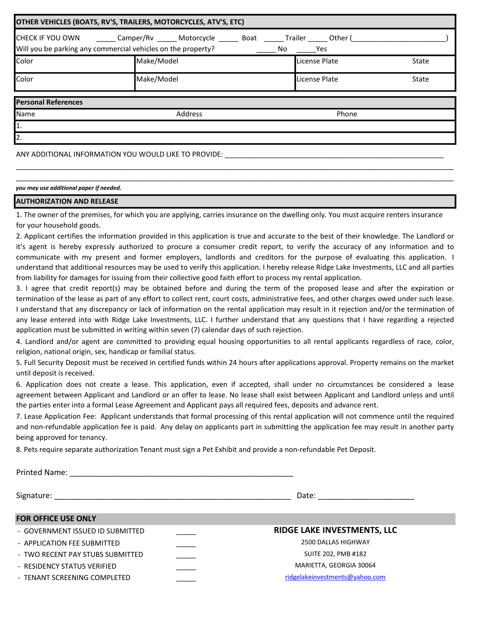| OTHER VEHICLES (BOATS, RV'S, TRAILERS, MOTORCYCLES, ATV'S, ETC) |                                                                                                                                                                     |               |       |  |  |  |  |
|-----------------------------------------------------------------|---------------------------------------------------------------------------------------------------------------------------------------------------------------------|---------------|-------|--|--|--|--|
|                                                                 | CHECK IF YOU OWN ________ Camper/Rv ______ Motorcycle _______ Boat ______ Trailer ______ Other (___<br>Will you be parking any commercial vehicles on the property? |               |       |  |  |  |  |
| Color                                                           | Make/Model                                                                                                                                                          | License Plate | State |  |  |  |  |
| Color                                                           | Make/Model                                                                                                                                                          | License Plate | State |  |  |  |  |
| <b>Personal References</b>                                      |                                                                                                                                                                     |               |       |  |  |  |  |
| Name                                                            | Address                                                                                                                                                             | Phone         |       |  |  |  |  |
| 11.                                                             |                                                                                                                                                                     |               |       |  |  |  |  |
| 2.                                                              |                                                                                                                                                                     |               |       |  |  |  |  |
|                                                                 | ANY ADDITIONAL INFORMATION YOU WOULD LIKE TO PROVIDE:                                                                                                               |               |       |  |  |  |  |

you may use additional paper if needed.

## AUTHORIZATION AND RELEASE

1. The owner of the premises, for which you are applying, carries insurance on the dwelling only. You must acquire renters insurance for your household goods.

\_\_\_\_\_\_\_\_\_\_\_\_\_\_\_\_\_\_\_\_\_\_\_\_\_\_\_\_\_\_\_\_\_\_\_\_\_\_\_\_\_\_\_\_\_\_\_\_\_\_\_\_\_\_\_\_\_\_\_\_\_\_\_\_\_\_\_\_\_\_\_\_\_\_\_\_\_\_\_\_\_\_\_\_\_\_\_\_\_\_\_\_\_\_\_\_\_\_\_\_\_\_\_\_\_\_\_\_\_\_\_\_ \_\_\_\_\_\_\_\_\_\_\_\_\_\_\_\_\_\_\_\_\_\_\_\_\_\_\_\_\_\_\_\_\_\_\_\_\_\_\_\_\_\_\_\_\_\_\_\_\_\_\_\_\_\_\_\_\_\_\_\_\_\_\_\_\_\_\_\_\_\_\_\_\_\_\_\_\_\_\_\_\_\_\_\_\_\_\_\_\_\_\_\_\_\_\_\_\_\_\_\_\_\_\_\_\_\_\_\_\_\_\_\_

2. Applicant certifies the information provided in this application is true and accurate to the best of their knowledge. The Landlord or it's agent is hereby expressly authorized to procure a consumer credit report, to verify the accuracy of any information and to communicate with my present and former employers, landlords and creditors for the purpose of evaluating this application. I understand that additional resources may be used to verify this application. I hereby release Ridge Lake Investments, LLC and all parties from liability for damages for issuing from their collective good faith effort to process my rental application.

3. I agree that credit report(s) may be obtained before and during the term of the proposed lease and after the expiration or termination of the lease as part of any effort to collect rent, court costs, administrative fees, and other charges owed under such lease. I understand that any discrepancy or lack of information on the rental application may result in it rejection and/or the termination of any lease entered into with Ridge Lake Investments, LLC. I further understand that any questions that I have regarding a rejected application must be submitted in writing within seven (7) calendar days of such rejection.

4. Landlord and/or agent are committed to providing equal housing opportunities to all rental applicants regardless of race, color, religion, national origin, sex, handicap or familial status.

5. Full Security Deposit must be received in certified funds within 24 hours after applications approval. Property remains on the market until deposit is received.

6. Application does not create a lease. This application, even if accepted, shall under no circumstances be considered a lease agreement between Applicant and Landlord or an offer to lease. No lease shall exist between Applicant and Landlord unless and until the parties enter into a formal Lease Agreement and Applicant pays all required fees, deposits and advance rent.

7. Lease Application Fee: Applicant understands that formal processing of this rental application will not commence until the required and non-refundable application fee is paid. Any delay on applicants part in submitting the application fee may result in another party being approved for tenancy.

8. Pets require separate authorization Tenant must sign a Pet Exhibit and provide a non-refundable Pet Deposit.

| <b>Printed Name:</b>             |                                |
|----------------------------------|--------------------------------|
|                                  | Date:                          |
| <b>FOR OFFICE USE ONLY</b>       |                                |
| - GOVERNMENT ISSUED ID SUBMITTED | RIDGE LAKE INVESTMENTS, LLC    |
| - APPLICATION FEE SUBMITTED      | 2500 DALLAS HIGHWAY            |
| - TWO RECENT PAY STUBS SUBMITTED | <b>SUITE 202, PMB #182</b>     |
| - RESIDENCY STATUS VERIFIED      | MARIETTA, GEORGIA 30064        |
| - TENANT SCREENING COMPLETED     | ridgelakeinvestments@yahoo.com |